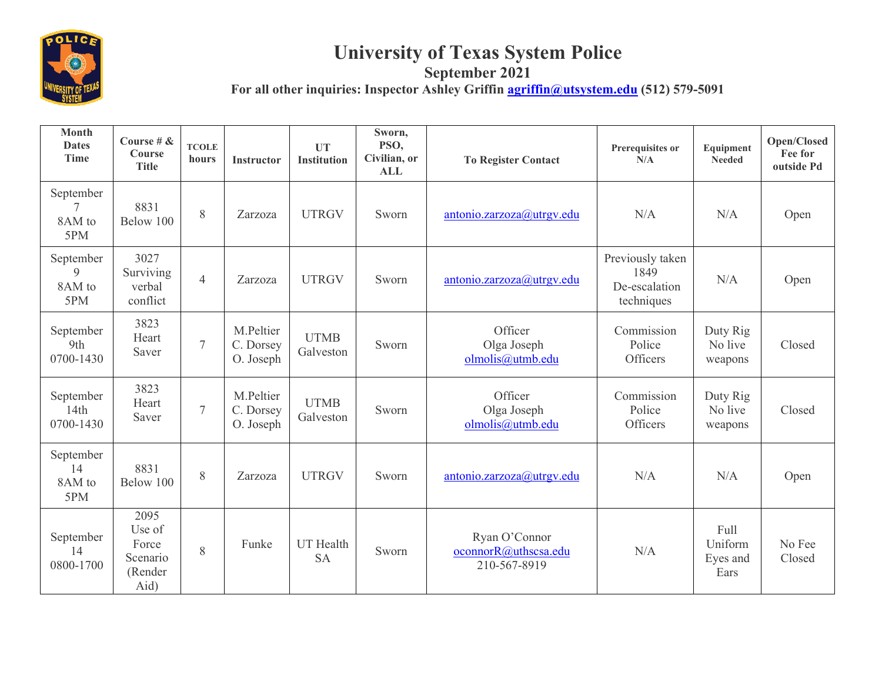

## **University of Texas System Police**

**September 2021**

For all other inquiries: Inspector Ashley Griffin **agriffin@utsystem.edu** (512) 579-5091

| <b>Month</b><br><b>Dates</b><br><b>Time</b> | Course # $\&$<br>Course<br><b>Title</b>                | <b>TCOLE</b><br>hours | Instructor                          | <b>UT</b><br><b>Institution</b> | Sworn,<br>PSO,<br>Civilian, or<br><b>ALL</b> | <b>To Register Contact</b>                            | Prerequisites or<br>N/A                                 | Equipment<br><b>Needed</b>          | Open/Closed<br>Fee for<br>outside Pd |
|---------------------------------------------|--------------------------------------------------------|-----------------------|-------------------------------------|---------------------------------|----------------------------------------------|-------------------------------------------------------|---------------------------------------------------------|-------------------------------------|--------------------------------------|
| September<br>7<br>8AM to<br>5PM             | 8831<br>Below 100                                      | 8                     | Zarzoza                             | <b>UTRGV</b>                    | Sworn                                        | antonio.zarzoza@utrgv.edu                             | N/A                                                     | N/A                                 | Open                                 |
| September<br>9<br>8AM to<br>5PM             | 3027<br>Surviving<br>verbal<br>conflict                | $\overline{4}$        | Zarzoza                             | <b>UTRGV</b>                    | Sworn                                        | antonio.zarzoza@utrgv.edu                             | Previously taken<br>1849<br>De-escalation<br>techniques | N/A                                 | Open                                 |
| September<br>9th<br>0700-1430               | 3823<br>Heart<br>Saver                                 | $\overline{7}$        | M.Peltier<br>C. Dorsey<br>O. Joseph | <b>UTMB</b><br>Galveston        | Sworn                                        | Officer<br>Olga Joseph<br>olmolis@utmb.edu            | Commission<br>Police<br>Officers                        | Duty Rig<br>No live<br>weapons      | Closed                               |
| September<br>14th<br>0700-1430              | 3823<br>Heart<br>Saver                                 | $\overline{7}$        | M.Peltier<br>C. Dorsey<br>O. Joseph | <b>UTMB</b><br>Galveston        | Sworn                                        | Officer<br>Olga Joseph<br>olmolis@utmb.edu            | Commission<br>Police<br>Officers                        | Duty Rig<br>No live<br>weapons      | Closed                               |
| September<br>14<br>8AM to<br>5PM            | 8831<br>Below 100                                      | 8                     | Zarzoza                             | <b>UTRGV</b>                    | Sworn                                        | antonio.zarzoza@utrgv.edu                             | N/A                                                     | N/A                                 | Open                                 |
| September<br>14<br>0800-1700                | 2095<br>Use of<br>Force<br>Scenario<br>(Render<br>Aid) | 8                     | Funke                               | <b>UT</b> Health<br><b>SA</b>   | Sworn                                        | Ryan O'Connor<br>oconnorR@uthscsa.edu<br>210-567-8919 | N/A                                                     | Full<br>Uniform<br>Eyes and<br>Ears | No Fee<br>Closed                     |